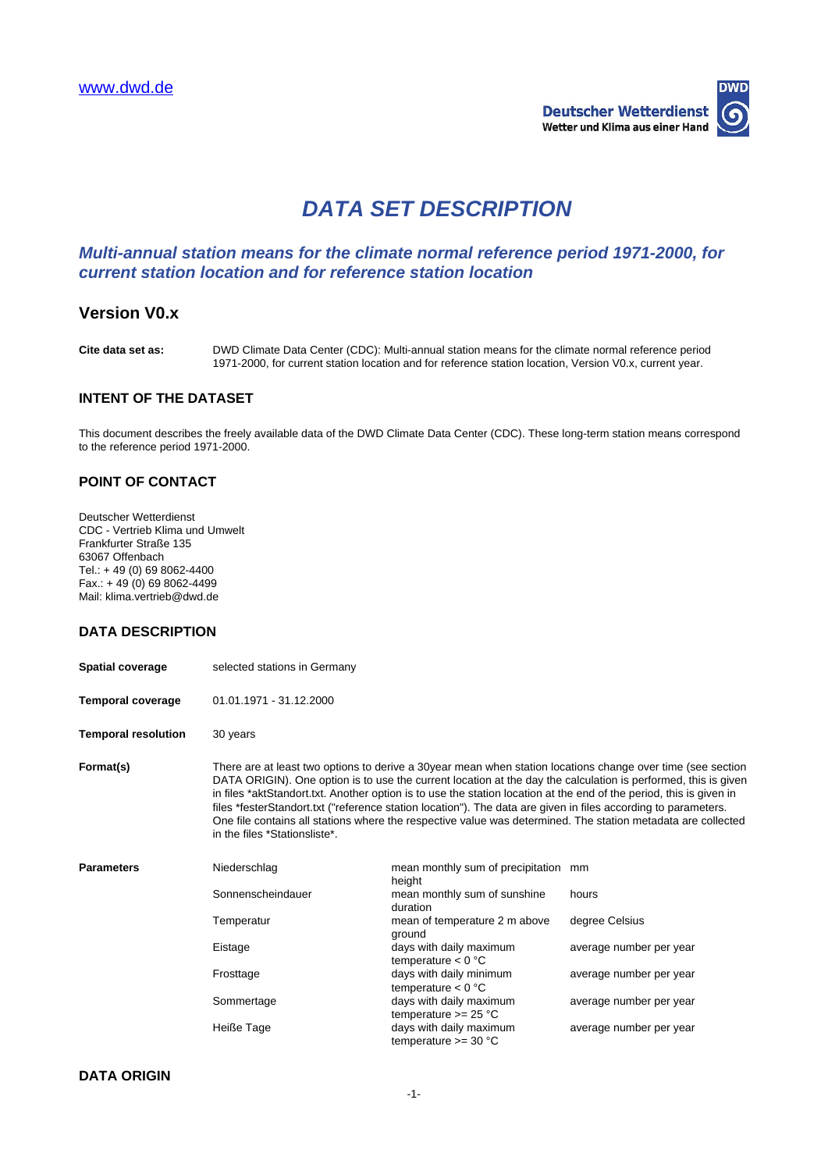

# **DATA SET DESCRIPTION**

# **Multi-annual station means for the climate normal reference period 1971-2000, for current station location and for reference station location**

# **Version V0.x**

**Cite data set as:** DWD Climate Data Center (CDC): Multi-annual station means for the climate normal reference period 1971-2000, for current station location and for reference station location, Version V0.x, current year.

#### **INTENT OF THE DATASET**

This document describes the freely available data of the DWD Climate Data Center (CDC). These long-term station means correspond to the reference period 1971-2000.

### **POINT OF CONTACT**

Deutscher Wetterdienst CDC - Vertrieb Klima und Umwelt Frankfurter Straße 135 63067 Offenbach Tel.: + 49 (0) 69 8062-4400 Fax.: + 49 (0) 69 8062-4499 Mail: klima.vertrieb@dwd.de

## **DATA DESCRIPTION**

| <b>Spatial coverage</b>    | selected stations in Germany                                                                                                                                                                                                                                                                                                                                                                                                                                                                                                                                                                                            |                                                   |                         |
|----------------------------|-------------------------------------------------------------------------------------------------------------------------------------------------------------------------------------------------------------------------------------------------------------------------------------------------------------------------------------------------------------------------------------------------------------------------------------------------------------------------------------------------------------------------------------------------------------------------------------------------------------------------|---------------------------------------------------|-------------------------|
| <b>Temporal coverage</b>   | 01.01.1971 - 31.12.2000                                                                                                                                                                                                                                                                                                                                                                                                                                                                                                                                                                                                 |                                                   |                         |
| <b>Temporal resolution</b> | 30 years                                                                                                                                                                                                                                                                                                                                                                                                                                                                                                                                                                                                                |                                                   |                         |
| Format(s)                  | There are at least two options to derive a 30year mean when station locations change over time (see section<br>DATA ORIGIN). One option is to use the current location at the day the calculation is performed, this is given<br>in files *aktStandort.txt. Another option is to use the station location at the end of the period, this is given in<br>files *festerStandort.txt ("reference station location"). The data are given in files according to parameters.<br>One file contains all stations where the respective value was determined. The station metadata are collected<br>in the files *Stationsliste*. |                                                   |                         |
| <b>Parameters</b>          | Niederschlag                                                                                                                                                                                                                                                                                                                                                                                                                                                                                                                                                                                                            | mean monthly sum of precipitation<br>height       | mm                      |
|                            | Sonnenscheindauer                                                                                                                                                                                                                                                                                                                                                                                                                                                                                                                                                                                                       | mean monthly sum of sunshine<br>duration          | hours                   |
|                            | Temperatur                                                                                                                                                                                                                                                                                                                                                                                                                                                                                                                                                                                                              | mean of temperature 2 m above<br>ground           | degree Celsius          |
|                            | Eistage                                                                                                                                                                                                                                                                                                                                                                                                                                                                                                                                                                                                                 | days with daily maximum<br>temperature $< 0$ °C   | average number per year |
|                            | Frosttage                                                                                                                                                                                                                                                                                                                                                                                                                                                                                                                                                                                                               | days with daily minimum<br>temperature $< 0$ °C   | average number per year |
|                            | Sommertage                                                                                                                                                                                                                                                                                                                                                                                                                                                                                                                                                                                                              | days with daily maximum<br>temperature $>= 25 °C$ | average number per year |
|                            | Heiße Tage                                                                                                                                                                                                                                                                                                                                                                                                                                                                                                                                                                                                              | days with daily maximum<br>temperature $>=$ 30 °C | average number per year |